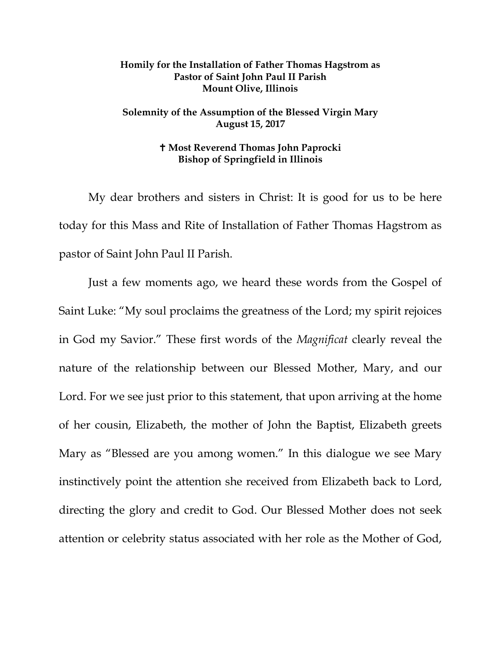## **Homily for the Installation of Father Thomas Hagstrom as Pastor of Saint John Paul II Parish Mount Olive, Illinois**

## **Solemnity of the Assumption of the Blessed Virgin Mary August 15, 2017**

## **Most Reverend Thomas John Paprocki Bishop of Springfield in Illinois**

My dear brothers and sisters in Christ: It is good for us to be here today for this Mass and Rite of Installation of Father Thomas Hagstrom as pastor of Saint John Paul II Parish.

Just a few moments ago, we heard these words from the Gospel of Saint Luke: "My soul proclaims the greatness of the Lord; my spirit rejoices in God my Savior." These first words of the *Magnificat* clearly reveal the nature of the relationship between our Blessed Mother, Mary, and our Lord. For we see just prior to this statement, that upon arriving at the home of her cousin, Elizabeth, the mother of John the Baptist, Elizabeth greets Mary as "Blessed are you among women." In this dialogue we see Mary instinctively point the attention she received from Elizabeth back to Lord, directing the glory and credit to God. Our Blessed Mother does not seek attention or celebrity status associated with her role as the Mother of God,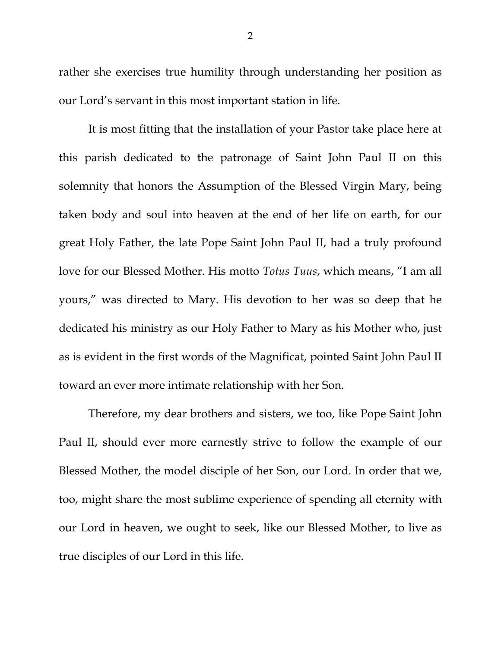rather she exercises true humility through understanding her position as our Lord's servant in this most important station in life.

It is most fitting that the installation of your Pastor take place here at this parish dedicated to the patronage of Saint John Paul II on this solemnity that honors the Assumption of the Blessed Virgin Mary, being taken body and soul into heaven at the end of her life on earth, for our great Holy Father, the late Pope Saint John Paul II, had a truly profound love for our Blessed Mother. His motto *Totus Tuus*, which means, "I am all yours," was directed to Mary. His devotion to her was so deep that he dedicated his ministry as our Holy Father to Mary as his Mother who, just as is evident in the first words of the Magnificat, pointed Saint John Paul II toward an ever more intimate relationship with her Son.

Therefore, my dear brothers and sisters, we too, like Pope Saint John Paul II, should ever more earnestly strive to follow the example of our Blessed Mother, the model disciple of her Son, our Lord. In order that we, too, might share the most sublime experience of spending all eternity with our Lord in heaven, we ought to seek, like our Blessed Mother, to live as true disciples of our Lord in this life.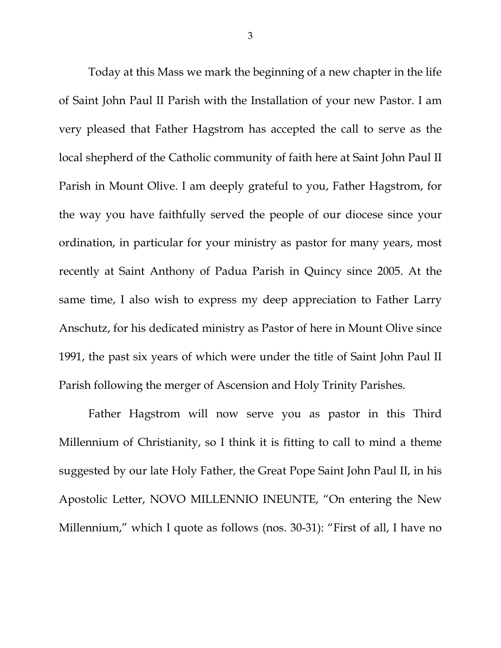Today at this Mass we mark the beginning of a new chapter in the life of Saint John Paul II Parish with the Installation of your new Pastor. I am very pleased that Father Hagstrom has accepted the call to serve as the local shepherd of the Catholic community of faith here at Saint John Paul II Parish in Mount Olive. I am deeply grateful to you, Father Hagstrom, for the way you have faithfully served the people of our diocese since your ordination, in particular for your ministry as pastor for many years, most recently at Saint Anthony of Padua Parish in Quincy since 2005. At the same time, I also wish to express my deep appreciation to Father Larry Anschutz, for his dedicated ministry as Pastor of here in Mount Olive since 1991, the past six years of which were under the title of Saint John Paul II Parish following the merger of Ascension and Holy Trinity Parishes.

Father Hagstrom will now serve you as pastor in this Third Millennium of Christianity, so I think it is fitting to call to mind a theme suggested by our late Holy Father, the Great Pope Saint John Paul II, in his Apostolic Letter, NOVO MILLENNIO INEUNTE, "On entering the New Millennium," which I quote as follows (nos. 30-31): "First of all, I have no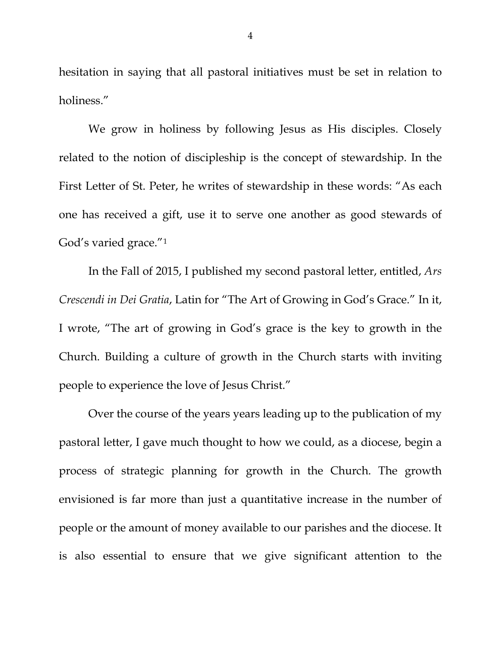hesitation in saying that all pastoral initiatives must be set in relation to holiness."

We grow in holiness by following Jesus as His disciples. Closely related to the notion of discipleship is the concept of stewardship. In the First Letter of St. Peter, he writes of stewardship in these words: "As each one has received a gift, use it to serve one another as good stewards of God's varied grace."[1](#page-7-0)

In the Fall of 2015, I published my second pastoral letter, entitled, *Ars Crescendi in Dei Gratia*, Latin for "The Art of Growing in God's Grace." In it, I wrote, "The art of growing in God's grace is the key to growth in the Church. Building a culture of growth in the Church starts with inviting people to experience the love of Jesus Christ."

Over the course of the years years leading up to the publication of my pastoral letter, I gave much thought to how we could, as a diocese, begin a process of strategic planning for growth in the Church. The growth envisioned is far more than just a quantitative increase in the number of people or the amount of money available to our parishes and the diocese. It is also essential to ensure that we give significant attention to the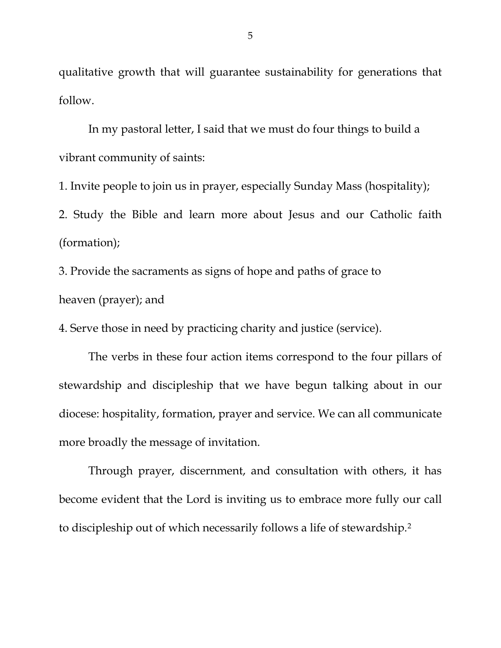qualitative growth that will guarantee sustainability for generations that follow.

In my pastoral letter, I said that we must do four things to build a vibrant community of saints:

1. Invite people to join us in prayer, especially Sunday Mass (hospitality);

2. Study the Bible and learn more about Jesus and our Catholic faith (formation);

3. Provide the sacraments as signs of hope and paths of grace to heaven (prayer); and

4. Serve those in need by practicing charity and justice (service).

The verbs in these four action items correspond to the four pillars of stewardship and discipleship that we have begun talking about in our diocese: hospitality, formation, prayer and service. We can all communicate more broadly the message of invitation.

Through prayer, discernment, and consultation with others, it has become evident that the Lord is inviting us to embrace more fully our call to discipleship out of which necessarily follows a life of stewardship.[2](#page-7-1)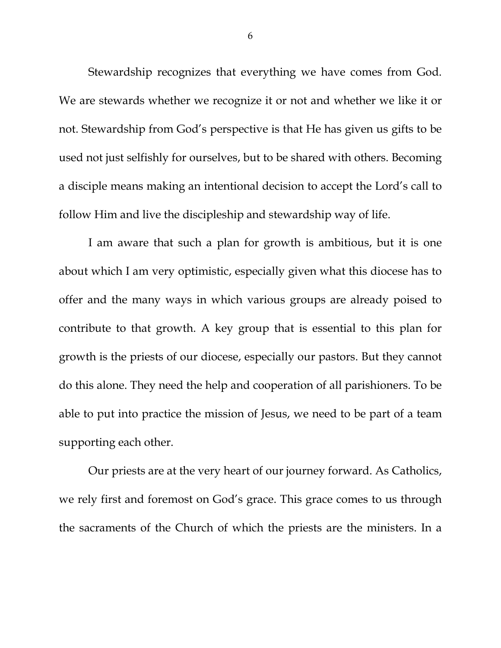Stewardship recognizes that everything we have comes from God. We are stewards whether we recognize it or not and whether we like it or not. Stewardship from God's perspective is that He has given us gifts to be used not just selfishly for ourselves, but to be shared with others. Becoming a disciple means making an intentional decision to accept the Lord's call to follow Him and live the discipleship and stewardship way of life.

I am aware that such a plan for growth is ambitious, but it is one about which I am very optimistic, especially given what this diocese has to offer and the many ways in which various groups are already poised to contribute to that growth. A key group that is essential to this plan for growth is the priests of our diocese, especially our pastors. But they cannot do this alone. They need the help and cooperation of all parishioners. To be able to put into practice the mission of Jesus, we need to be part of a team supporting each other.

Our priests are at the very heart of our journey forward. As Catholics, we rely first and foremost on God's grace. This grace comes to us through the sacraments of the Church of which the priests are the ministers. In a

6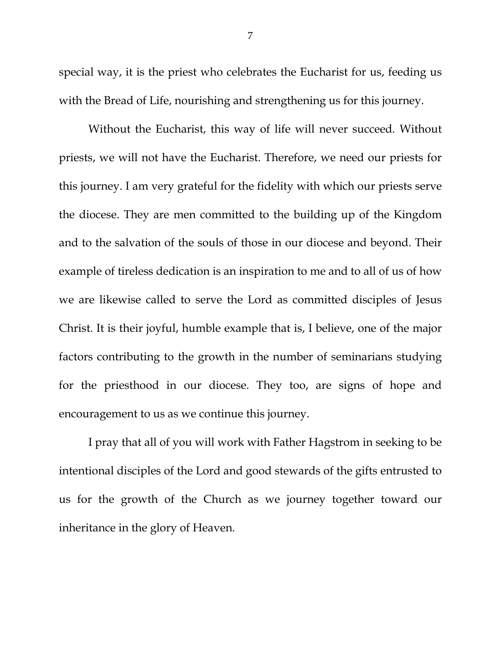special way, it is the priest who celebrates the Eucharist for us, feeding us with the Bread of Life, nourishing and strengthening us for this journey.

Without the Eucharist, this way of life will never succeed. Without priests, we will not have the Eucharist. Therefore, we need our priests for this journey. I am very grateful for the fidelity with which our priests serve the diocese. They are men committed to the building up of the Kingdom and to the salvation of the souls of those in our diocese and beyond. Their example of tireless dedication is an inspiration to me and to all of us of how we are likewise called to serve the Lord as committed disciples of Jesus Christ. It is their joyful, humble example that is, I believe, one of the major factors contributing to the growth in the number of seminarians studying for the priesthood in our diocese. They too, are signs of hope and encouragement to us as we continue this journey.

I pray that all of you will work with Father Hagstrom in seeking to be intentional disciples of the Lord and good stewards of the gifts entrusted to us for the growth of the Church as we journey together toward our inheritance in the glory of Heaven.